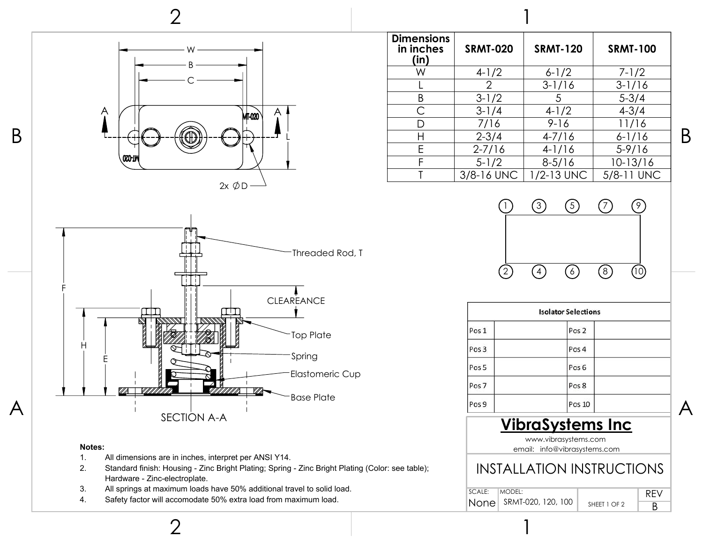

### **Dimensions in inches (in) SRMT-020 SRMT-120 SRMT-100** W 4-1/2 6-1/2 7-1/2 2 |  $3-1/16$  |  $3-1/16$ B  $3-1/2$  5 5-3/4 C  $3-1/4$   $4-1/2$   $4-3/4$ D | 7/16 | 9-16 | 11/16 H  $\vert$  2-3/4  $\vert$  4-7/16  $\vert$  6-1/16 E 2-7/16 4-1/16 5-9/16 F 5-1/2 8-5/16 10-13/16  $T = \frac{3}{8}$ -16 UNC  $\frac{1}{2}$ -13 UNC  $\frac{1}{8}$  5/8-11 UNC 1



| <b>Isolator Selections</b> |                  |  |
|----------------------------|------------------|--|
| Pos 1                      | Pos <sub>2</sub> |  |
| Pos 3                      | Pos 4            |  |
| Pos <sub>5</sub>           | Pos <sub>6</sub> |  |
| Pos <sub>7</sub>           | Pos 8            |  |
| Pos 9                      | <b>Pos 10</b>    |  |

## **VibraSystems Inc**

www.vibrasystems.com email: info@vibrasystems.com

## INSTALLATION INSTRUCTIONS

| SCALE: | IMODEL:                 |              |  |
|--------|-------------------------|--------------|--|
|        | None SRMT-020, 120, 100 | SHEET 1 OF 2 |  |

1

#### **Notes:**

- 1. All dimensions are in inches, interpret per ANSI Y14.
- 2. Standard finish: Housing Zinc Bright Plating; Spring Zinc Bright Plating (Color: see table); Hardware - Zinc-electroplate.
- 3. All springs at maximum loads have 50% additional travel to solid load.
- 4. Safety factor will accomodate 50% extra load from maximum load.